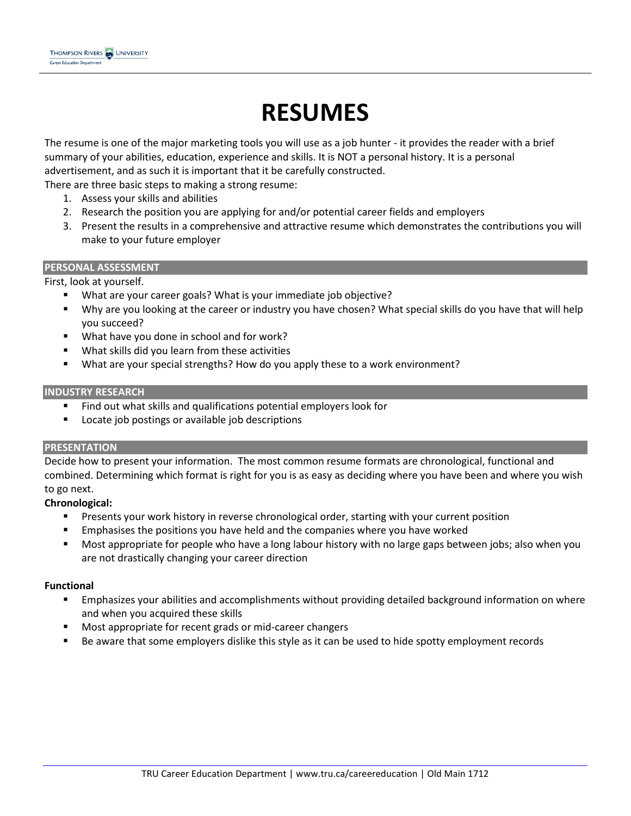# **RESUMES**

The resume is one of the major marketing tools you will use as a job hunter - it provides the reader with a brief summary of your abilities, education, experience and skills. It is NOT a personal history. It is a personal advertisement, and as such it is important that it be carefully constructed.

There are three basic steps to making a strong resume:

- 1. Assess your skills and abilities
- 2. Research the position you are applying for and/or potential career fields and employers
- 3. Present the results in a comprehensive and attractive resume which demonstrates the contributions you will make to your future employer

#### **PERSONAL ASSESSMENT**

First, look at yourself.

- What are your career goals? What is your immediate job objective?
- Why are you looking at the career or industry you have chosen? What special skills do you have that will help you succeed?
- What have you done in school and for work?
- What skills did you learn from these activities
- What are your special strengths? How do you apply these to a work environment?

### **INDUSTRY RESEARCH**

- Find out what skills and qualifications potential employers look for
- **EXEDENT** Locate job postings or available job descriptions

### **PRESENTATION**

Decide how to present your information. The most common resume formats are chronological, functional and combined. Determining which format is right for you is as easy as deciding where you have been and where you wish to go next.

### **Chronological:**

- Presents your work history in reverse chronological order, starting with your current position
- **Emphasises the positions you have held and the companies where you have worked**
- Most appropriate for people who have a long labour history with no large gaps between jobs; also when you are not drastically changing your career direction

### **Functional**

- **Emphasizes your abilities and [accomplishments](http://www.easyjob.net/resume/resume-outline-achievements.html) without providing detailed background information on where** and when you acquired these skills
- **Most appropriate for recent grads or mid-career changers**
- Be aware that some employers dislike this style as it can be used to hide spotty employment records